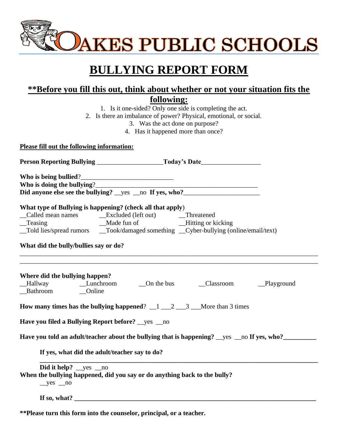

## **BULLYING REPORT FORM**

## **\*\*Before you fill this out, think about whether or not your situation fits the**

| TDEIOLE you lill this out, think about whether of not your situation his the<br>following:            |  |  |  |  |                                    |
|-------------------------------------------------------------------------------------------------------|--|--|--|--|------------------------------------|
| 1. Is it one-sided? Only one side is completing the act.                                              |  |  |  |  |                                    |
| 2. Is there an imbalance of power? Physical, emotional, or social.<br>3. Was the act done on purpose? |  |  |  |  |                                    |
|                                                                                                       |  |  |  |  | 4. Has it happened more than once? |
|                                                                                                       |  |  |  |  |                                    |
| Please fill out the following information:                                                            |  |  |  |  |                                    |
|                                                                                                       |  |  |  |  |                                    |
|                                                                                                       |  |  |  |  |                                    |
|                                                                                                       |  |  |  |  |                                    |
|                                                                                                       |  |  |  |  |                                    |
|                                                                                                       |  |  |  |  |                                    |
|                                                                                                       |  |  |  |  |                                    |
|                                                                                                       |  |  |  |  |                                    |
| What type of Bullying is happening? (check all that apply)                                            |  |  |  |  |                                    |
| _Teasing                                                                                              |  |  |  |  |                                    |
| _Told lies/spread rumors _____Took/damaged something ___Cyber-bullying (online/email/text)            |  |  |  |  |                                    |
|                                                                                                       |  |  |  |  |                                    |
| What did the bully/bullies say or do?                                                                 |  |  |  |  |                                    |
| Where did the bullying happen?                                                                        |  |  |  |  |                                    |
| How many times has the bullying happened? $\frac{1}{2}$ $\frac{2}{3}$ More than 3 times               |  |  |  |  |                                    |
| Have you filed a Bullying Report before? yes _no                                                      |  |  |  |  |                                    |
| Have you told an adult/teacher about the bullying that is happening? __yes __no If yes, who?__        |  |  |  |  |                                    |
| If yes, what did the adult/teacher say to do?                                                         |  |  |  |  |                                    |
| Did it help? _yes _no                                                                                 |  |  |  |  |                                    |
| When the bullying happened, did you say or do anything back to the bully?                             |  |  |  |  |                                    |
| $yes$ no                                                                                              |  |  |  |  |                                    |
|                                                                                                       |  |  |  |  |                                    |

**\*\*Please turn this form into the counselor, principal, or a teacher.**